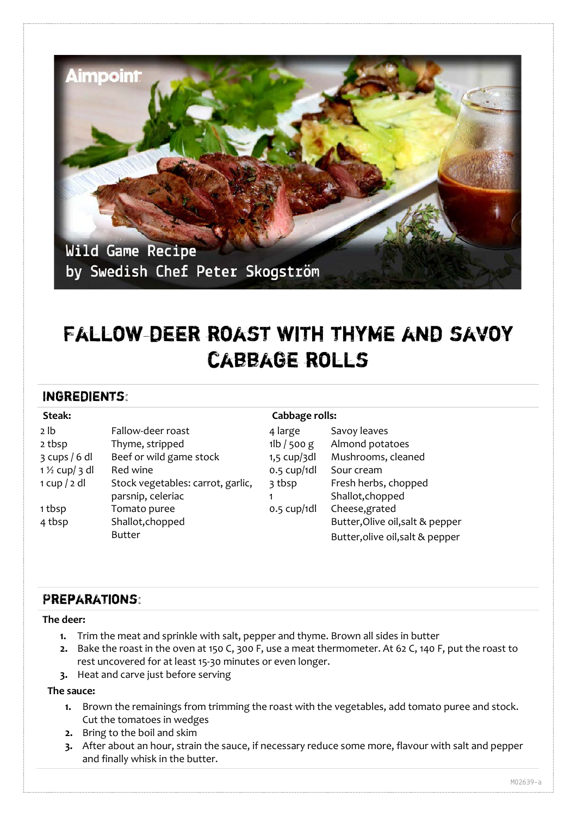

# FALLOW-DEER ROAST WITH THYME AND SAVOY cabbage rolls

## Ingredients:

| Steak:                   |                                   |                | Cabbage rolls:                   |  |
|--------------------------|-----------------------------------|----------------|----------------------------------|--|
| 2 lb                     | Fallow-deer roast                 | 4 large        | Savoy leaves                     |  |
| 2 tbsp                   | Thyme, stripped                   | $1$ lb / 500 g | Almond potatoes                  |  |
| $3$ cups / 6 dl          | Beef or wild game stock           | $1,5$ cup/3dl  | Mushrooms, cleaned               |  |
| $1\frac{1}{2}$ cup/ 3 dl | Red wine                          | $0.5$ cup/1dl  | Sour cream                       |  |
| 1 cup / 2 dl             | Stock vegetables: carrot, garlic, | 3 tbsp         | Fresh herbs, chopped             |  |
|                          | parsnip, celeriac                 |                | Shallot, chopped                 |  |
| 1 tbsp                   | Tomato puree                      | $0.5$ cup/1dl  | Cheese, grated                   |  |
| 4 tbsp                   | Shallot, chopped                  |                | Butter, Olive oil, salt & pepper |  |
|                          | <b>Butter</b>                     |                | Butter, olive oil, salt & pepper |  |

## Preparations:

#### **The deer:**

- **1.** Trim the meat and sprinkle with salt, pepper and thyme. Brown all sides in butter
- **2.** Bake the roast in the oven at 150 C, 300 F, use a meat thermometer. At 62 C, 140 F, put the roast to rest uncovered for at least 15-30 minutes or even longer.
- **3.** Heat and carve just before serving

## **The sauce:**

- **1.** Brown the remainings from trimming the roast with the vegetables, add tomato puree and stock. Cut the tomatoes in wedges
- **2.** Bring to the boil and skim
- **3.** After about an hour, strain the sauce, if necessary reduce some more, flavour with salt and pepper and finally whisk in the butter.